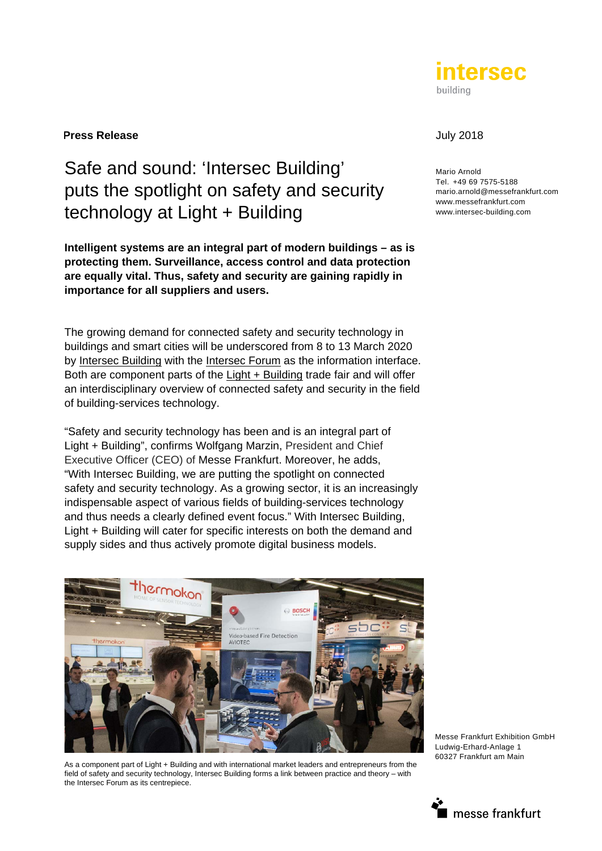

#### **Press Release** July 2018

# Safe and sound: 'Intersec Building' puts the spotlight on safety and security technology at Light + Building

**Intelligent systems are an integral part of modern buildings – as is protecting them. Surveillance, access control and data protection are equally vital. Thus, safety and security are gaining rapidly in importance for all suppliers and users.** 

The growing demand for connected safety and security technology in buildings and smart cities will be underscored from 8 to 13 March 2020 by Intersec Building with the Intersec Forum as the information interface. Both are component parts of the Light + Building trade fair and will offer an interdisciplinary overview of connected safety and security in the field of building-services technology.

"Safety and security technology has been and is an integral part of Light + Building", confirms Wolfgang Marzin, President and Chief Executive Officer (CEO) of Messe Frankfurt. Moreover, he adds, "With Intersec Building, we are putting the spotlight on connected safety and security technology. As a growing sector, it is an increasingly indispensable aspect of various fields of building-services technology and thus needs a clearly defined event focus." With Intersec Building, Light + Building will cater for specific interests on both the demand and supply sides and thus actively promote digital business models.



As a component part of Light + Building and with international market leaders and entrepreneurs from the field of safety and security technology, Intersec Building forms a link between practice and theory – with the Intersec Forum as its centrepiece.

Mario Arnold Tel. +49 69 7575-5188 mario.arnold@messefrankfurt.com www.messefrankfurt.com www.intersec-building.com



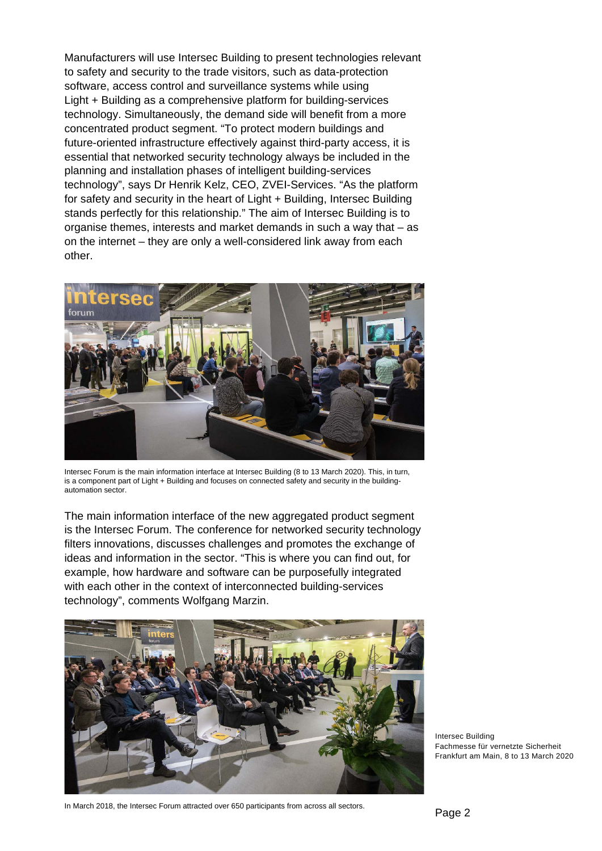Manufacturers will use Intersec Building to present technologies relevant to safety and security to the trade visitors, such as data-protection software, access control and surveillance systems while using Light + Building as a comprehensive platform for building-services technology. Simultaneously, the demand side will benefit from a more concentrated product segment. "To protect modern buildings and future-oriented infrastructure effectively against third-party access, it is essential that networked security technology always be included in the planning and installation phases of intelligent building-services technology", says Dr Henrik Kelz, CEO, ZVEI-Services. "As the platform for safety and security in the heart of Light + Building, Intersec Building stands perfectly for this relationship." The aim of Intersec Building is to organise themes, interests and market demands in such a way that – as on the internet – they are only a well-considered link away from each other.



Intersec Forum is the main information interface at Intersec Building (8 to 13 March 2020). This, in turn, is a component part of Light + Building and focuses on connected safety and security in the buildingautomation sector.

The main information interface of the new aggregated product segment is the Intersec Forum. The conference for networked security technology filters innovations, discusses challenges and promotes the exchange of ideas and information in the sector. "This is where you can find out, for example, how hardware and software can be purposefully integrated with each other in the context of interconnected building-services technology", comments Wolfgang Marzin.



Intersec Building Fachmesse für vernetzte Sicherheit Frankfurt am Main, 8 to 13 March 2020

In March 2018, the Intersec Forum attracted over 650 participants from across all sectors.